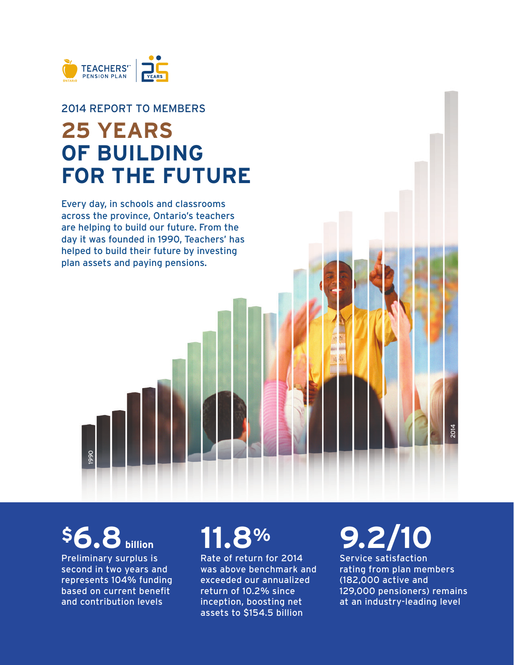

### 2014 REPORT TO MEMBERS **25 YEARS OF BUILDING FOR THE FUTURE**

Every day, in schools and classrooms across the province, Ontario's teachers are helping to build our future. From the day it was founded in 1990, Teachers' has helped to build their future by investing plan assets and paying pensions.

## **\$6.8** billion

1990

Preliminary surplus is second in two years and represents 104% funding based on current benefit and contribution levels

# **11.8%**

Rate of return for 2014 was above benchmark and exceeded our annualized return of 10.2% since inception, boosting net assets to \$154.5 billion

# **9.2/10**

Service satisfaction rating from plan members (182,000 active and 129,000 pensioners) remains at an industry-leading level

2014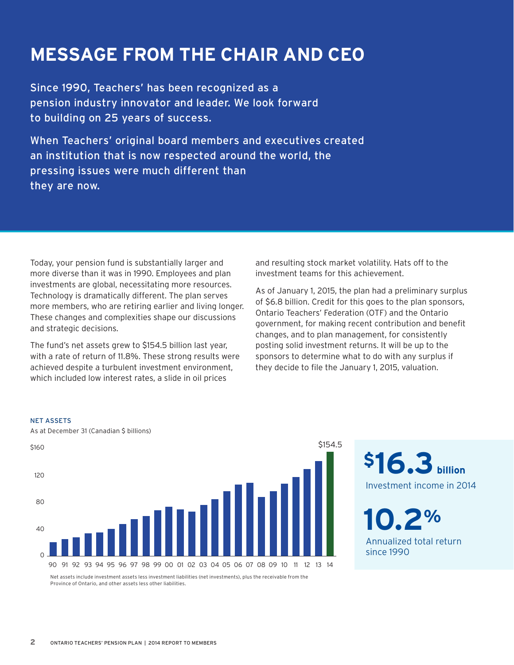### **MESSAGE FROM THE CHAIR AND CEO**

Since 1990, Teachers' has been recognized as a pension industry innovator and leader. We look forward to building on 25 years of success.

When Teachers' original board members and executives created an institution that is now respected around the world, the pressing issues were much different than they are now.

Today, your pension fund is substantially larger and more diverse than it was in 1990. Employees and plan investments are global, necessitating more resources. Technology is dramatically different. The plan serves more members, who are retiring earlier and living longer. These changes and complexities shape our discussions and strategic decisions.

The fund's net assets grew to \$154.5 billion last year, with a rate of return of 11.8%. These strong results were achieved despite a turbulent investment environment, which included low interest rates, a slide in oil prices

and resulting stock market volatility. Hats off to the investment teams for this achievement.

As of January 1, 2015, the plan had a preliminary surplus of \$6.8 billion. Credit for this goes to the plan sponsors, Ontario Teachers' Federation (OTF) and the Ontario government, for making recent contribution and benefit changes, and to plan management, for consistently posting solid investment returns. It will be up to the sponsors to determine what to do with any surplus if they decide to fle the January 1, 2015, valuation.



NET ASSETS

As at December 31 (Canadian \$ billions)

\$16.3 **billion** Investment income in 2014

**10.2%**  Annualized total return since 1990

Net assets include investment assets less investment liabilities (net investments), plus the receivable from the Province of Ontario, and other assets less other liabilities.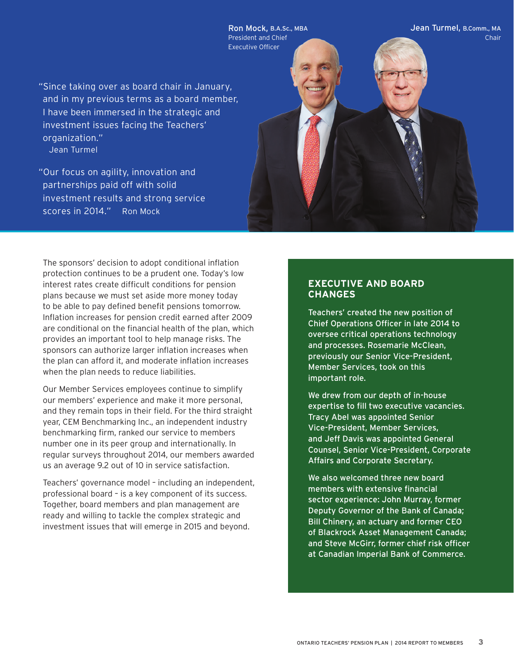"Since taking over as board chair in January, and in my previous terms as a board member, I have been immersed in the strategic and investment issues facing the Teachers' organization." Jean Turmel

Ron Mock, B.A.Sc., MBA President and Chief Executive Officer

– scores in 2014." Ron Mock "Our focus on agility, innovation and partnerships paid off with solid investment results and strong service

The sponsors' decision to adopt conditional inflation protection continues to be a prudent one. Today's low interest rates create difficult conditions for pension plans because we must set aside more money today to be able to pay defined benefit pensions tomorrow. Infation increases for pension credit earned after 2009 are conditional on the fnancial health of the plan, which provides an important tool to help manage risks. The sponsors can authorize larger inflation increases when the plan can afford it, and moderate inflation increases when the plan needs to reduce liabilities.

Our Member Services employees continue to simplify our members' experience and make it more personal, and they remain tops in their field. For the third straight year, CEM Benchmarking Inc., an independent industry benchmarking firm, ranked our service to members number one in its peer group and internationally. In regular surveys throughout 2014, our members awarded us an average 9.2 out of 10 in service satisfaction.

Teachers' governance model – including an independent, professional board – is a key component of its success. Together, board members and plan management are ready and willing to tackle the complex strategic and investment issues that will emerge in 2015 and beyond.

#### **EXECUTIVE AND BOARD CHANGES**

Teachers' created the new position of Chief Operations Officer in late 2014 to oversee critical operations technology and processes. Rosemarie McClean, previously our Senior Vice-President, Member Services, took on this important role.

Jean Turmel, B.Comm., MA

Chair

We drew from our depth of in-house expertise to fill two executive vacancies. Tracy Abel was appointed Senior Vice-President, Member Services, and Jeff Davis was appointed General Counsel, Senior Vice-President, Corporate Affairs and Corporate Secretary.

We also welcomed three new board members with extensive financial sector experience: John Murray, former Deputy Governor of the Bank of Canada; Bill Chinery, an actuary and former CEO of Blackrock Asset Management Canada; and Steve McGirr, former chief risk officer at Canadian Imperial Bank of Commerce.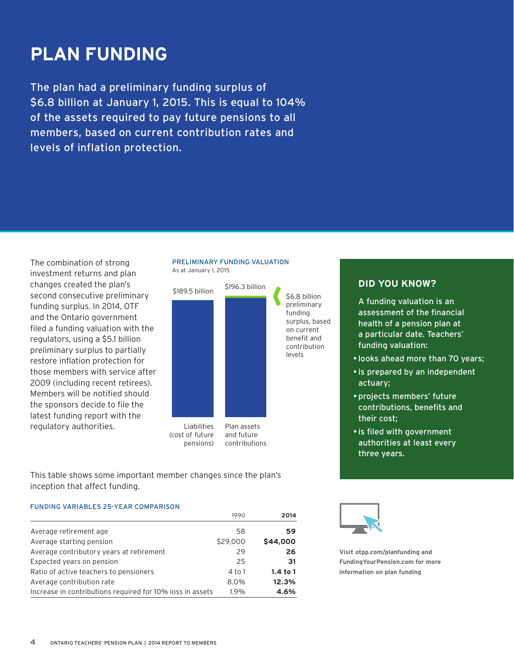### **PLAN FUNDING**

The plan had a preliminary funding surplus of \$6.8 billion at January 1, 2015. This is equal to 104% of the assets required to pay future pensions to all members, based on current contribution rates and levels of inflation protection.

The combination of strong investment returns and plan changes created the plan's second consecutive preliminary funding surplus. In 2014, OTF and the Ontario government filed a funding valuation with the regulators, using a \$5.1 billion preliminary surplus to partially restore inflation protection for those members with service after 2009 (including recent retirees). Members will be notifed should the sponsors decide to file the latest funding report with the regulatory authorities.

#### PRELIMINARY FUNDING VALUATION As at January 1, 2015



This table shows some important member changes since the plan's inception that affect funding.

#### FUNDING VARIABLES 25-YEAR COMPARISON

|                                                           | 1990     | 2014       |
|-----------------------------------------------------------|----------|------------|
| Average retirement age                                    | 58       | 59         |
| Average starting pension                                  | \$29,000 | \$44,000   |
| Average contributory years at retirement                  | 29       | 26         |
| Expected years on pension                                 | 25       | 31         |
| Ratio of active teachers to pensioners                    | 4 to 1   | $1.4$ to 1 |
| Average contribution rate                                 | 8.0%     | 12.3%      |
| Increase in contributions required for 10% loss in assets | 1.9%     | 4.6%       |

#### **DID YOU KNOW?**

A funding valuation is an assessment of the fnancial health of a pension plan at a particular date. Teachers' funding valuation:

- looks ahead more than 70 years;
- is prepared by an independent actuary;
- projects members' future contributions, benefits and their cost;
- is fled with government authorities at least every three years.



**Visit [otpp.com/planfunding](https://otpp.com/planfunding) and [FundingYourPension.com](https://FundingYourPension.com) for more information on plan funding**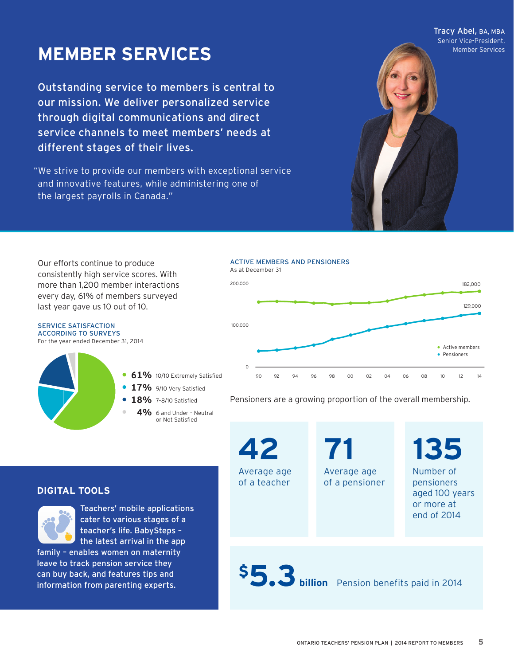Tracy Abel, BA, MBA Senior Vice-President,

### **MEMBER SERVICES MEMBER SERVICES**

Outstanding service to members is central to our mission. We deliver personalized service through digital communications and direct service channels to meet members' needs at different stages of their lives.

"We strive to provide our members with exceptional service and innovative features, while administering one of the largest payrolls in Canada."



Our efforts continue to produce consistently high service scores. With more than 1,200 member interactions every day, 61% of members surveyed last year gave us 10 out of 10.





- **<sup>17</sup>%** 9/10 Very Satisfied
- **<sup>18</sup>%** 7–8/10 Satisfied
	- **<sup>4</sup>%** 6 and Under Neutral or Not Satisfied

Pensioners are a growing proportion of the overall membership.

**42**  Average age of a teacher

**71**  Average age of a pensioner **135**  Number of pensioners aged 100 years or more at end of 2014

# \$5.3 **billion** Pension benefits paid in 2014

#### **DIGITAL TOOLS**



Teachers' mobile applications cater to various stages of a teacher's life. BabySteps – the latest arrival in the app

family – enables women on maternity leave to track pension service they can buy back, and features tips and information from parenting experts.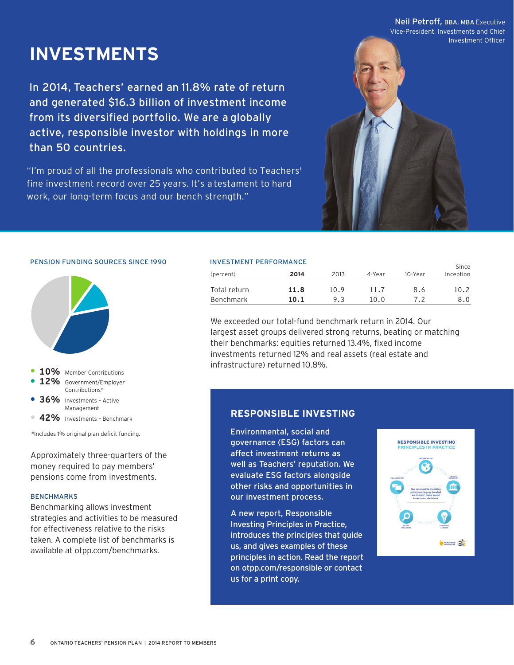#### Neil Petroff, BBA, MBA Executive

Vice-President, Investments and Chief Investment Officer

### **INVESTMENTS**

In 2014, Teachers' earned an 11.8% rate of return and generated \$16.3 billion of investment income from its diversified portfolio. We are a globally active, responsible investor with holdings in more than 50 countries.

"I'm proud of all the professionals who contributed to Teachers' fine investment record over 25 years. It's a testament to hard work, our long-term focus and our bench strength."



#### PENSION FUNDING SOURCES SINCE 1990



- **<sup>10</sup>%** Member Contributions
- **<sup>12</sup>%** Government/Employer Contributions\*
- **<sup>36</sup>%** Investments Active Management
- **<sup>42</sup>%** Investments Benchmark

\*Includes 1% original plan defcit funding.

Approximately three-quarters of the money required to pay members' pensions come from investments.

#### **BENCHMARKS**

Benchmarking allows investment strategies and activities to be measured for effectiveness relative to the risks taken. A complete list of benchmarks is available at [otpp.com/benchmarks](https://otpp.com/benchmarks).

#### INVESTMENT PERFORMANCE

| (percent)    | 2014 | 2013 | 4-Year | 10-Year | Since<br>Inception |
|--------------|------|------|--------|---------|--------------------|
| Total return | 11.8 | 10.9 | 11.7   | 8.6     | 10.2               |
| Benchmark    | 10.1 | 9.3  | 10.0   | 72      | 8.0                |

We exceeded our total-fund benchmark return in 2014. Our largest asset groups delivered strong returns, beating or matching their benchmarks: equities returned 13.4%, fixed income investments returned 12% and real assets (real estate and infrastructure) returned 10.8%.

#### **RESPONSIBLE INVESTING**

Environmental, social and governance (ESG) factors can affect investment returns as well as Teachers' reputation. We evaluate ESG factors alongside other risks and opportunities in our investment process.

A new report, Responsible Investing Principles in Practice, introduces the principles that guide us, and gives examples of these principles in action. Read the report on [otpp.com/responsible](https://otpp.com/responsible) or contact us for a print copy.

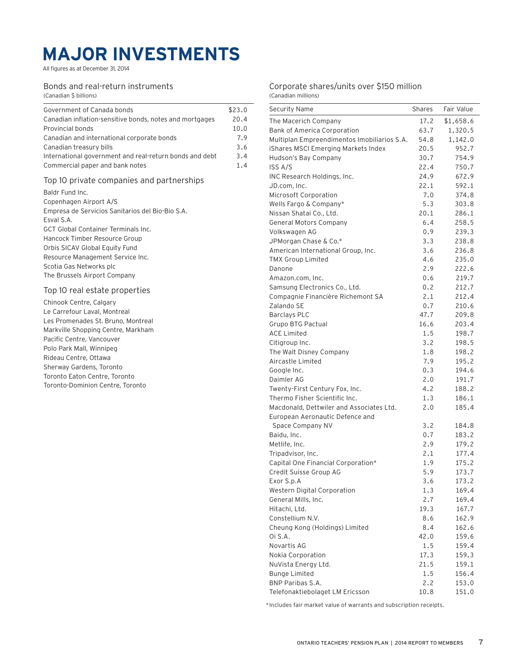### **MAJOR INVESTMENTS**

All figures as at December 31, 2014

#### Bonds and real-return instruments

(Canadian \$ billions)

| Government of Canada bonds                                                                                                                                                                                                                                                                                                                                        |                                                    |
|-------------------------------------------------------------------------------------------------------------------------------------------------------------------------------------------------------------------------------------------------------------------------------------------------------------------------------------------------------------------|----------------------------------------------------|
| Canadian inflation-sensitive bonds, notes and mortgages<br>Provincial bonds<br>Canadian and international corporate bonds<br>Canadian treasury bills<br>International government and real-return bonds and debt<br>Commercial paper and bank notes                                                                                                                | \$23.0<br>20.4<br>10.0<br>7.9<br>3.6<br>3.4<br>1.4 |
| Top 10 private companies and partnerships<br>Baldr Fund Inc.<br>Copenhagen Airport A/S<br>Empresa de Servicios Sanitarios del Bio-Bio S.A.<br>Esval S.A.<br>GCT Global Container Terminals Inc.<br>Hancock Timber Resource Group<br>Orbis SICAV Global Equity Fund<br>Resource Management Service Inc.<br>Scotia Gas Networks plc<br>The Brussels Airport Company |                                                    |
| Top 10 real estate properties<br>Chinook Centre, Calgary<br>Le Carrefour Laval, Montreal<br>Les Promenades St. Bruno, Montreal<br>Markville Shopping Centre, Markham<br>Pacific Centre, Vancouver<br>Polo Park Mall, Winnipeg<br>Rideau Centre, Ottawa<br>Sherway Gardens, Toronto<br>Toronto Eaton Centre, Toronto<br>Toronto-Dominion Centre, Toronto           |                                                    |
|                                                                                                                                                                                                                                                                                                                                                                   |                                                    |

#### Corporate shares/units over \$150 million (Canadian millions)

| <b>Security Name</b>                        | <b>Shares</b> | Fair Value |
|---------------------------------------------|---------------|------------|
| The Macerich Company                        | 17.2          | \$1,658.6  |
| Bank of America Corporation                 | 63.7          | 1,320.5    |
| Multiplan Empreendimentos Imobiliarios S.A. | 54.8          | 1,142.0    |
| iShares MSCI Emerging Markets Index         | 20.5          | 952.7      |
| Hudson's Bay Company                        | 30.7          | 754.9      |
| <b>ISS A/S</b>                              | 22.4          | 750.7      |
| INC Research Holdings, Inc.                 | 24.9          | 672.9      |
| JD.com, Inc.                                | 22.1          | 592.1      |
| Microsoft Corporation                       | 7.0           | 374.8      |
| Wells Fargo & Company*                      | 5.3           | 303.8      |
| Nissan Shatai Co., Ltd.                     | 20.1          | 286.1      |
| <b>General Motors Company</b>               | 6.4           | 258.5      |
| Volkswagen AG                               | 0.9           | 239.3      |
| JPMorgan Chase & Co.*                       | 3.3           | 238.8      |
| American International Group, Inc.          | 3.6           | 236.8      |
| <b>TMX Group Limited</b>                    | 4.6           | 235.0      |
| Danone                                      | 2.9           | 222.6      |
| Amazon.com, Inc.                            | 0.6           | 219.7      |
| Samsung Electronics Co., Ltd.               | 0.2           | 212.7      |
| Compagnie Financière Richemont SA           | 2.1           | 212.4      |
| Zalando SE                                  | 0.7           | 210.6      |
| <b>Barclays PLC</b>                         | 47.7          | 209.8      |
| Grupo BTG Pactual                           | 16.6          | 203.4      |
| <b>ACE Limited</b>                          | 1.5           | 198.7      |
| Citigroup Inc.                              | 3.2           | 198.5      |
| The Walt Disney Company                     | 1.8           | 198.2      |
| Aircastle Limited                           | 7.9           | 195.2      |
| Google Inc.                                 | 0.3           | 194.6      |
| Daimler AG                                  | 2.0           | 191.7      |
| Twenty-First Century Fox, Inc.              | 4.2           | 188.2      |
| Thermo Fisher Scientific Inc.               | 1.3           | 186.1      |
| Macdonald, Dettwiler and Associates Ltd.    | 2.0           | 185.4      |
| European Aeronautic Defence and             |               |            |
| Space Company NV                            | 3.2           | 184.8      |
| Baidu, Inc.                                 | 0.7           | 183.2      |
| Metlife, Inc.                               | 2.9           | 179.2      |
| Tripadvisor, Inc.                           | 2.1           | 177.4      |
| Capital One Financial Corporation*          | 1.9           | 175.2      |
| Credit Suisse Group AG                      | 5.9           | 173.7      |
| Exor S.p.A                                  | 3.6           | 173.2      |
| Western Digital Corporation                 | 1.3           | 169.4      |
| General Mills, Inc.                         | 2.7           | 169.4      |
| Hitachi, Ltd.                               | 19.3          | 167.7      |
| Constellium N.V.                            | 8.6           | 162.9      |
| Cheung Kong (Holdings) Limited              | 8.4           | 162.6      |
| Oi S.A.                                     | 42.0          | 159.6      |
| Novartis AG                                 | 1.5           | 159.4      |
| Nokia Corporation                           | 17.3          | 159.3      |
| NuVista Energy Ltd.                         | 21.5          | 159.1      |
| <b>Bunge Limited</b>                        | 1.5           | 156.4      |
| <b>BNP Paribas S.A.</b>                     | 2.2           | 153.0      |
| Telefonaktiebolaget LM Ericsson             | 10.8          | 151.0      |

\*Includes fair market value of warrants and subscription receipts.